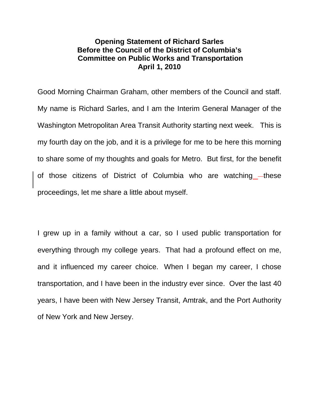## **Opening Statement of Richard Sarles Before the Council of the District of Columbia's Committee on Public Works and Transportation April 1, 2010**

Good Morning Chairman Graham, other members of the Council and staff. My name is Richard Sarles, and I am the Interim General Manager of the Washington Metropolitan Area Transit Authority starting next week. This is my fourth day on the job, and it is a privilege for me to be here this morning to share some of my thoughts and goals for Metro. But first, for the benefit of those citizens of District of Columbia who are watching —these proceedings, let me share a little about myself.

I grew up in a family without a car, so I used public transportation for everything through my college years. That had a profound effect on me, and it influenced my career choice. When I began my career, I chose transportation, and I have been in the industry ever since. Over the last 40 years, I have been with New Jersey Transit, Amtrak, and the Port Authority of New York and New Jersey.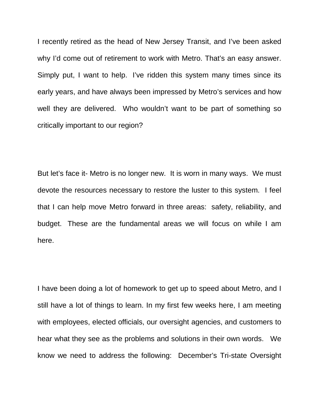I recently retired as the head of New Jersey Transit, and I've been asked why I'd come out of retirement to work with Metro. That's an easy answer. Simply put, I want to help. I've ridden this system many times since its early years, and have always been impressed by Metro's services and how well they are delivered. Who wouldn't want to be part of something so critically important to our region?

But let's face it- Metro is no longer new. It is worn in many ways. We must devote the resources necessary to restore the luster to this system. I feel that I can help move Metro forward in three areas: safety, reliability, and budget. These are the fundamental areas we will focus on while I am here.

I have been doing a lot of homework to get up to speed about Metro, and I still have a lot of things to learn. In my first few weeks here, I am meeting with employees, elected officials, our oversight agencies, and customers to hear what they see as the problems and solutions in their own words. We know we need to address the following: December's Tri-state Oversight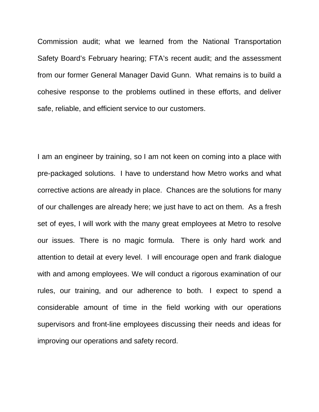Commission audit; what we learned from the National Transportation Safety Board's February hearing; FTA's recent audit; and the assessment from our former General Manager David Gunn. What remains is to build a cohesive response to the problems outlined in these efforts, and deliver safe, reliable, and efficient service to our customers.

I am an engineer by training, so I am not keen on coming into a place with pre-packaged solutions. I have to understand how Metro works and what corrective actions are already in place. Chances are the solutions for many of our challenges are already here; we just have to act on them. As a fresh set of eyes, I will work with the many great employees at Metro to resolve our issues. There is no magic formula. There is only hard work and attention to detail at every level. I will encourage open and frank dialogue with and among employees. We will conduct a rigorous examination of our rules, our training, and our adherence to both. I expect to spend a considerable amount of time in the field working with our operations supervisors and front-line employees discussing their needs and ideas for improving our operations and safety record.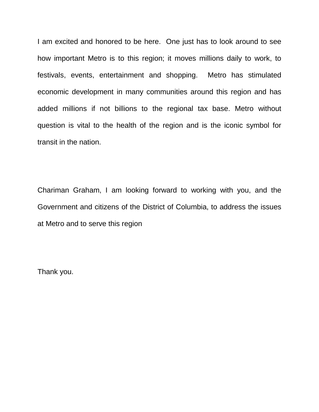I am excited and honored to be here. One just has to look around to see how important Metro is to this region; it moves millions daily to work, to festivals, events, entertainment and shopping. Metro has stimulated economic development in many communities around this region and has added millions if not billions to the regional tax base. Metro without question is vital to the health of the region and is the iconic symbol for transit in the nation.

Chariman Graham, I am looking forward to working with you, and the Government and citizens of the District of Columbia, to address the issues at Metro and to serve this region

Thank you.